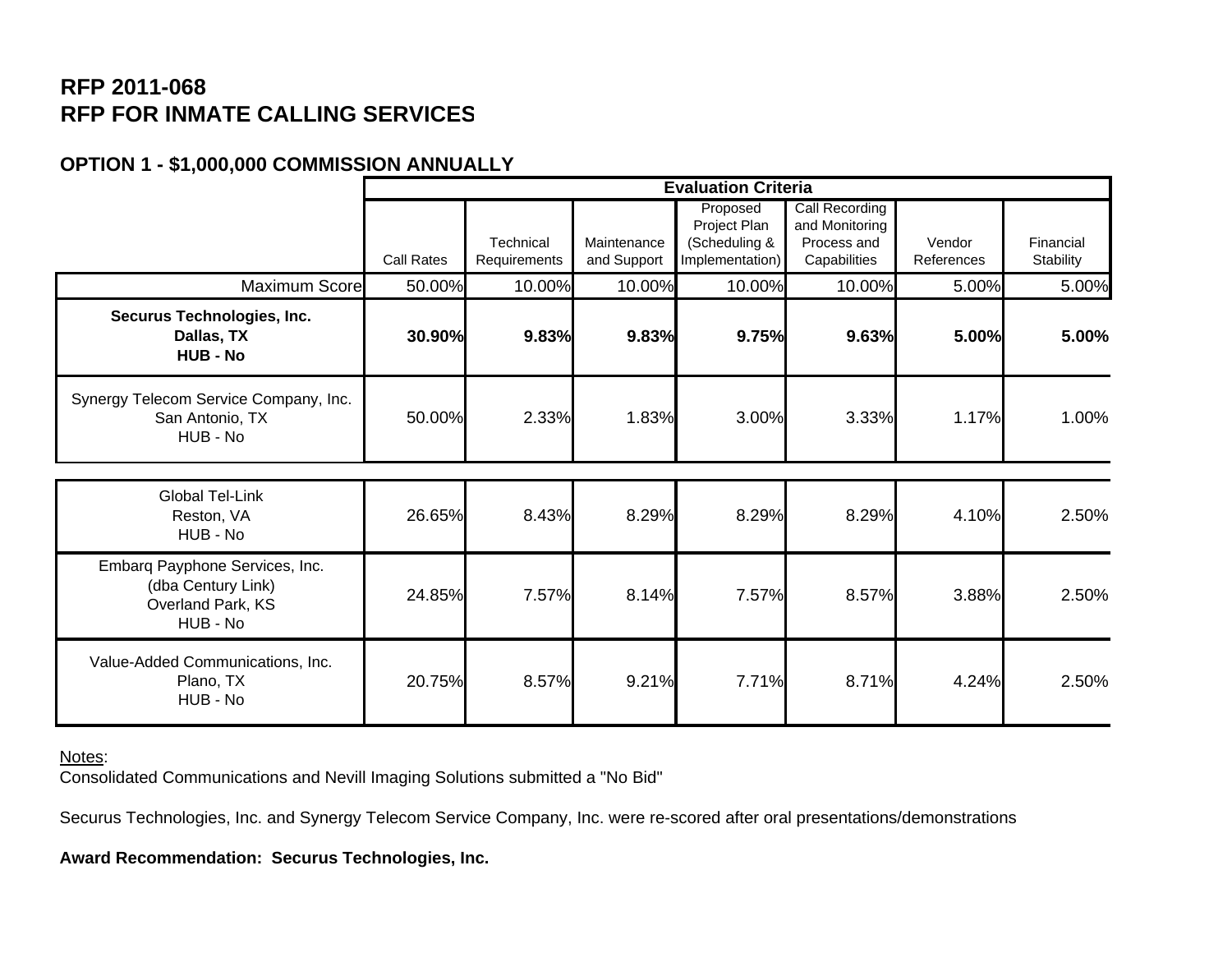## **RFP 2011-068 RFP FOR INMATE CALLING SERVICES**

## **OPTION 1 - \$1,000,000 COMMISSION ANNUALLY**

|                                                                                       | <b>Evaluation Criteria</b> |                           |                            |                                  |                               |                      |                        |  |  |
|---------------------------------------------------------------------------------------|----------------------------|---------------------------|----------------------------|----------------------------------|-------------------------------|----------------------|------------------------|--|--|
|                                                                                       |                            |                           |                            | Proposed                         | <b>Call Recording</b>         |                      |                        |  |  |
|                                                                                       |                            |                           |                            | Project Plan                     | and Monitoring<br>Process and |                      |                        |  |  |
|                                                                                       | <b>Call Rates</b>          | Technical<br>Requirements | Maintenance<br>and Support | (Scheduling &<br>Implementation) | Capabilities                  | Vendor<br>References | Financial<br>Stability |  |  |
| <b>Maximum Score</b>                                                                  | 50.00%                     | 10.00%                    | 10.00%                     | 10.00%                           | 10.00%                        | 5.00%                | 5.00%                  |  |  |
|                                                                                       |                            |                           |                            |                                  |                               |                      |                        |  |  |
| Securus Technologies, Inc.<br>Dallas, TX<br><b>HUB - No</b>                           | 30.90%                     | 9.83%                     | 9.83%                      | 9.75%                            | 9.63%                         | 5.00%                | 5.00%                  |  |  |
| Synergy Telecom Service Company, Inc.<br>San Antonio, TX<br>HUB - No                  | 50.00%                     | 2.33%                     | 1.83%                      | 3.00%                            | 3.33%                         | 1.17%                | 1.00%                  |  |  |
|                                                                                       |                            |                           |                            |                                  |                               |                      |                        |  |  |
| <b>Global Tel-Link</b><br>Reston, VA<br>HUB - No                                      | 26.65%                     | 8.43%                     | 8.29%                      | 8.29%                            | 8.29%                         | 4.10%                | 2.50%                  |  |  |
| Embarq Payphone Services, Inc.<br>(dba Century Link)<br>Overland Park, KS<br>HUB - No | 24.85%                     | 7.57%                     | 8.14%                      | 7.57%                            | 8.57%                         | 3.88%                | 2.50%                  |  |  |
| Value-Added Communications, Inc.<br>Plano, TX<br>HUB - No                             | 20.75%                     | 8.57%                     | 9.21%                      | 7.71%                            | 8.71%                         | 4.24%                | 2.50%                  |  |  |

Notes:

Consolidated Communications and Nevill Imaging Solutions submitted a "No Bid"

Securus Technologies, Inc. and Synergy Telecom Service Company, Inc. were re-scored after oral presentations/demonstrations

**Award Recommendation: Securus Technologies, Inc.**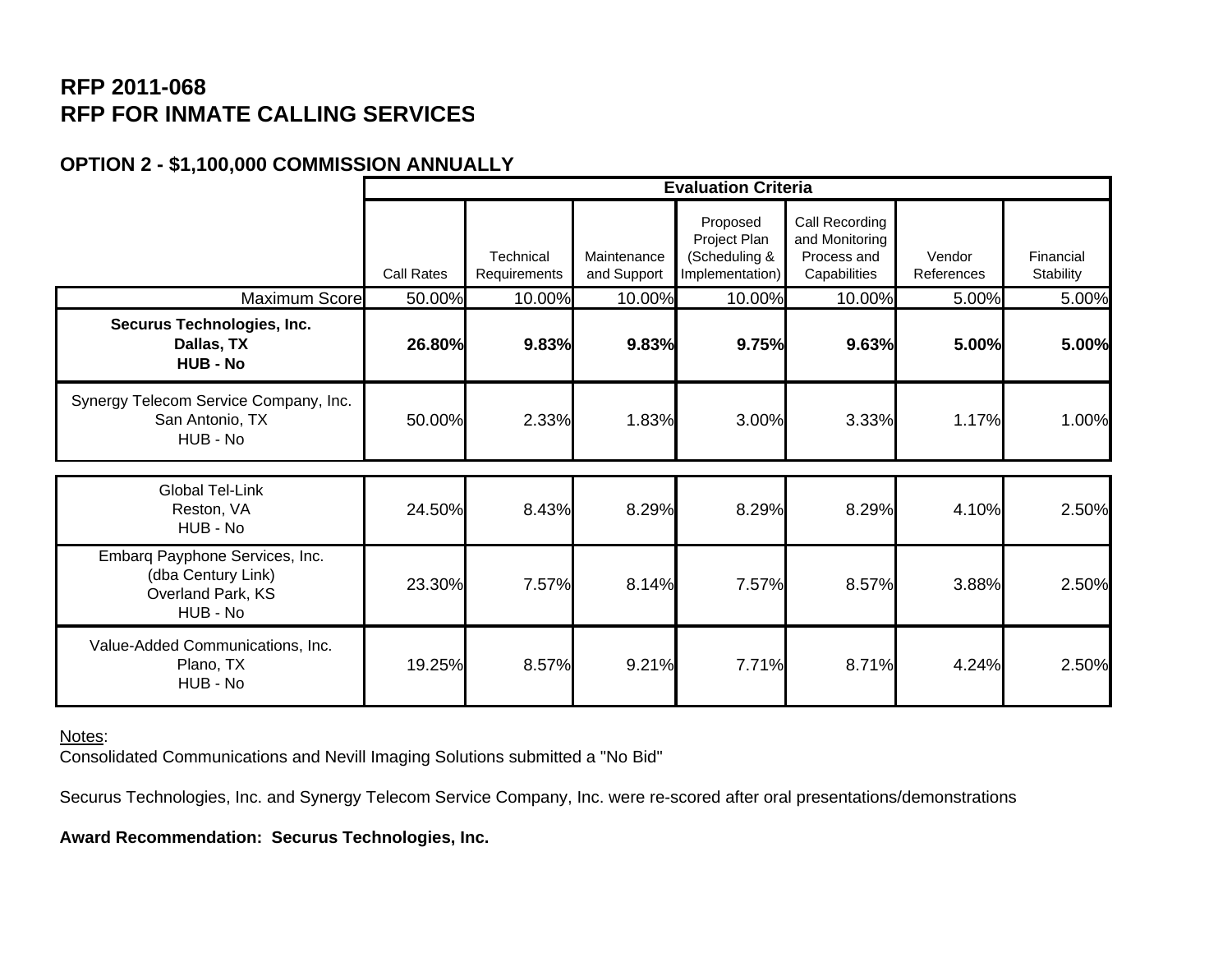## **RFP 2011-068 RFP FOR INMATE CALLING SERVICES**

## **OPTION 2 - \$1,100,000 COMMISSION ANNUALLY**

|                                                                                       | <b>Evaluation Criteria</b> |                           |                            |                                                              |                                                                 |                      |                        |  |  |
|---------------------------------------------------------------------------------------|----------------------------|---------------------------|----------------------------|--------------------------------------------------------------|-----------------------------------------------------------------|----------------------|------------------------|--|--|
|                                                                                       | <b>Call Rates</b>          | Technical<br>Requirements | Maintenance<br>and Support | Proposed<br>Project Plan<br>(Scheduling &<br>Implementation) | Call Recording<br>and Monitoring<br>Process and<br>Capabilities | Vendor<br>References | Financial<br>Stability |  |  |
| Maximum Score                                                                         | 50.00%                     | 10.00%                    | 10.00%                     | 10.00%                                                       | 10.00%                                                          | 5.00%                | 5.00%                  |  |  |
| Securus Technologies, Inc.<br>Dallas, TX<br><b>HUB - No</b>                           | 26.80%                     | 9.83%                     | 9.83%                      | 9.75%                                                        | 9.63%                                                           | 5.00%                | 5.00%                  |  |  |
| Synergy Telecom Service Company, Inc.<br>San Antonio, TX<br>HUB - No                  | 50.00%                     | 2.33%                     | 1.83%                      | 3.00%                                                        | 3.33%                                                           | 1.17%                | 1.00%                  |  |  |
| <b>Global Tel-Link</b><br>Reston, VA<br>HUB - No                                      | 24.50%                     | 8.43%                     | 8.29%                      | 8.29%                                                        | 8.29%                                                           | 4.10%                | 2.50%                  |  |  |
| Embarg Payphone Services, Inc.<br>(dba Century Link)<br>Overland Park, KS<br>HUB - No | 23.30%                     | 7.57%                     | 8.14%                      | 7.57%                                                        | 8.57%                                                           | 3.88%                | 2.50%                  |  |  |
| Value-Added Communications, Inc.<br>Plano, TX<br>HUB - No                             | 19.25%                     | 8.57%                     | 9.21%                      | 7.71%                                                        | 8.71%                                                           | 4.24%                | 2.50%                  |  |  |

Notes:

Consolidated Communications and Nevill Imaging Solutions submitted a "No Bid"

Securus Technologies, Inc. and Synergy Telecom Service Company, Inc. were re-scored after oral presentations/demonstrations

**Award Recommendation: Securus Technologies, Inc.**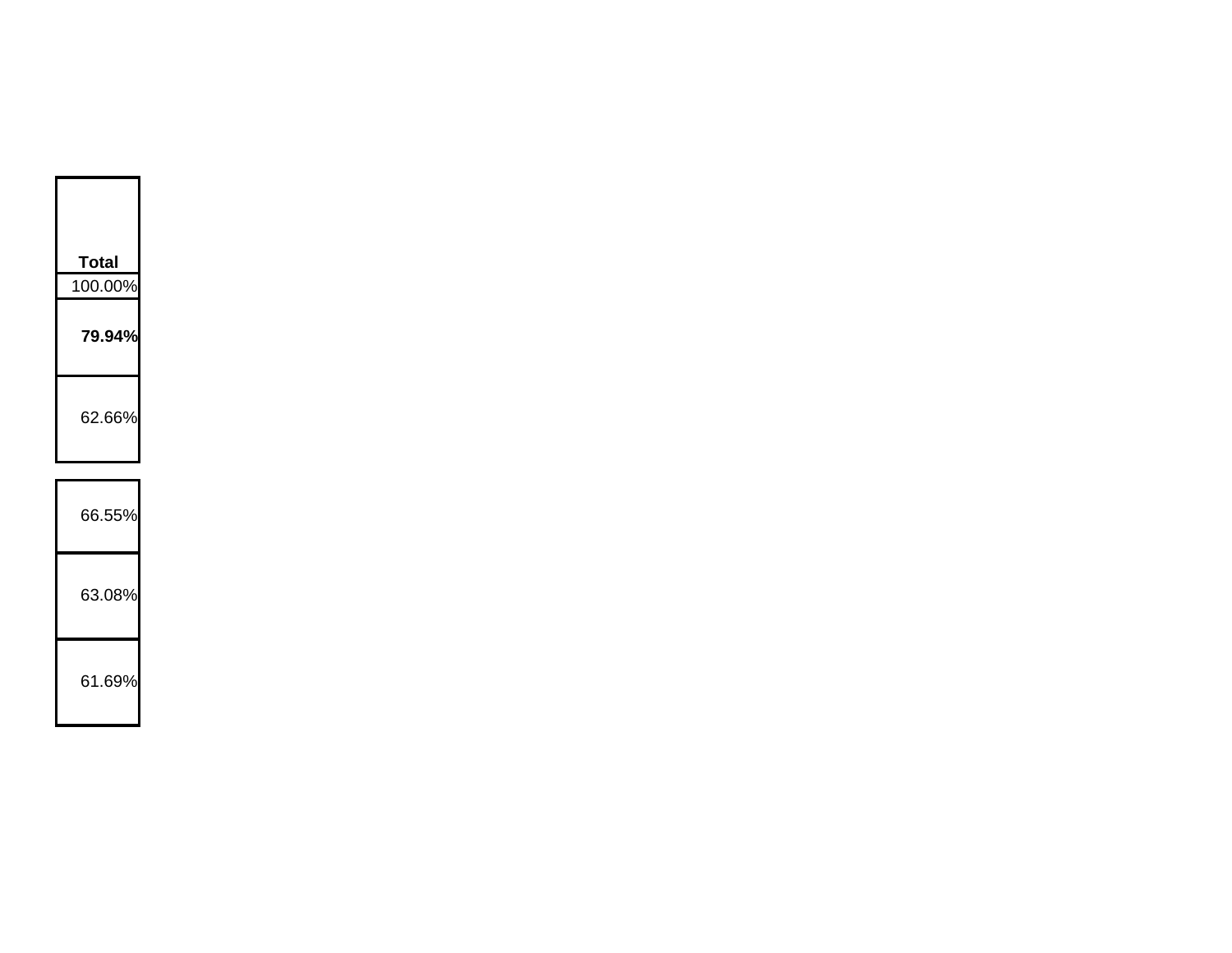